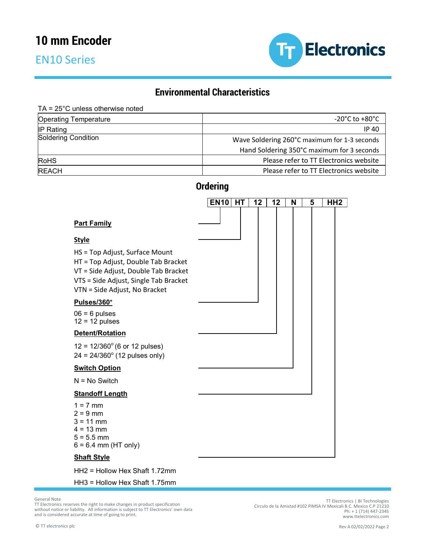## EN10 Series



## **Environmental Characteristics**

#### TA = 25°C unless otherwise noted

| <b>Operating Temperature</b> | $-20^{\circ}$ C to $+80^{\circ}$ C           |
|------------------------------|----------------------------------------------|
| $IP$ Rating                  | <b>IP 40</b>                                 |
| <b>Soldering Condition</b>   | Wave Soldering 260°C maximum for 1-3 seconds |
|                              | Hand Soldering 350°C maximum for 3 seconds   |
| <b>RoHS</b>                  | Please refer to TT Electronics website       |
| <b>REACH</b>                 | Please refer to TT Electronics website       |

## **Ordering**

|                                                                                                                                                                                         | <b>EN10</b> | <b>HT</b> | 12 | 12 | N | 5 | HH <sub>2</sub> |
|-----------------------------------------------------------------------------------------------------------------------------------------------------------------------------------------|-------------|-----------|----|----|---|---|-----------------|
| <b>Part Family</b>                                                                                                                                                                      |             |           |    |    |   |   |                 |
| <b>Style</b>                                                                                                                                                                            |             |           |    |    |   |   |                 |
| HS = Top Adjust, Surface Mount<br>HT = Top Adjust, Double Tab Bracket<br>VT = Side Adjust, Double Tab Bracket<br>VTS = Side Adjust, Single Tab Bracket<br>VTN = Side Adjust, No Bracket |             |           |    |    |   |   |                 |
| Pulses/360°                                                                                                                                                                             |             |           |    |    |   |   |                 |
| $06 = 6$ pulses<br>$12 = 12$ pulses                                                                                                                                                     |             |           |    |    |   |   |                 |
| Detent/Rotation                                                                                                                                                                         |             |           |    |    |   |   |                 |
| $12 = 12/360^{\circ}$ (6 or 12 pulses)<br>$24 = 24/360^{\circ}$ (12 pulses only)                                                                                                        |             |           |    |    |   |   |                 |
| <b>Switch Option</b>                                                                                                                                                                    |             |           |    |    |   |   |                 |
| $N = No$ Switch                                                                                                                                                                         |             |           |    |    |   |   |                 |
| <b>Standoff Length</b>                                                                                                                                                                  |             |           |    |    |   |   |                 |
| $1 = 7$ mm<br>$2 = 9$ mm<br>$3 = 11$ mm<br>$4 = 13$ mm<br>$5 = 5.5$ mm<br>$6 = 6.4$ mm (HT only)                                                                                        |             |           |    |    |   |   |                 |
| <b>Shaft Style</b>                                                                                                                                                                      |             |           |    |    |   |   |                 |

HH2 = Hollow Hex Shaft 1.72mm

HH3 = Hollow Hex Shaft 1.75mm

General Note

TT Electronics reserves the right to make changes in product specification without notice or liability. All information is subject to TT Electronics' own data and is considered accurate at time of going to print.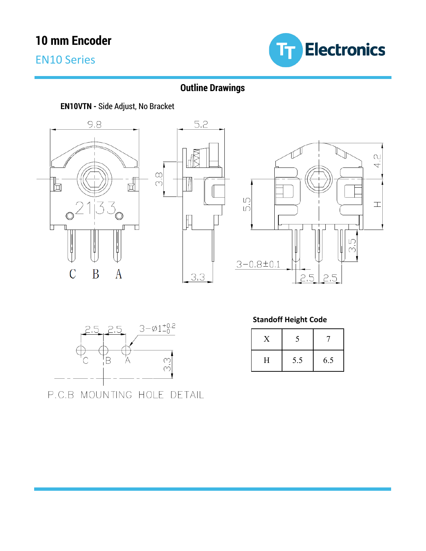EN10 Series



### **Outline Drawings**

### **EN10VTN -** Side Adjust, No Bracket









P.C.B MOUNTING HOLE DETAIL

#### **Standoff Height Code**

| Η | 5.5 | 6.5 |
|---|-----|-----|

General Note TT Electronics reserves the right to make changes in product specification without notice or liability. All information is subject to TT Electronics' own data and is considered accurate at time of going to print.

TT Electronics | BI Technologies<br>21210 Girculo de la Amistad #102 PIMSA IV Mexicali B.C. Mexico C.P<br>21315-1 (714) 417-2345 www.ttelectronics.com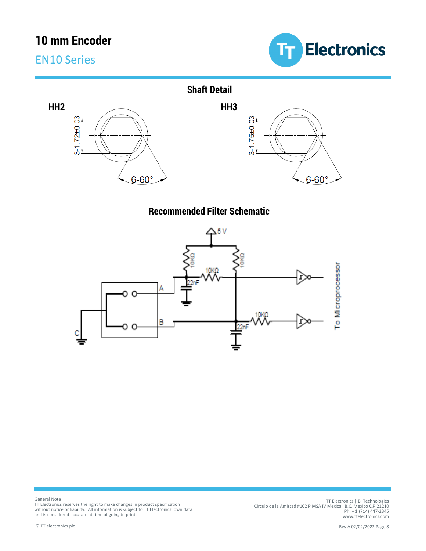## EN10 Series





### **Recommended Filter Schematic**



TT Electronics | BI Technologies<br>Circulo de la Amistad #102 PIMSA IV Mexicali B.C. Mexico C.P 21210<br>Ph: +1 (714) 447-2345<br>www.ttelectronics.com